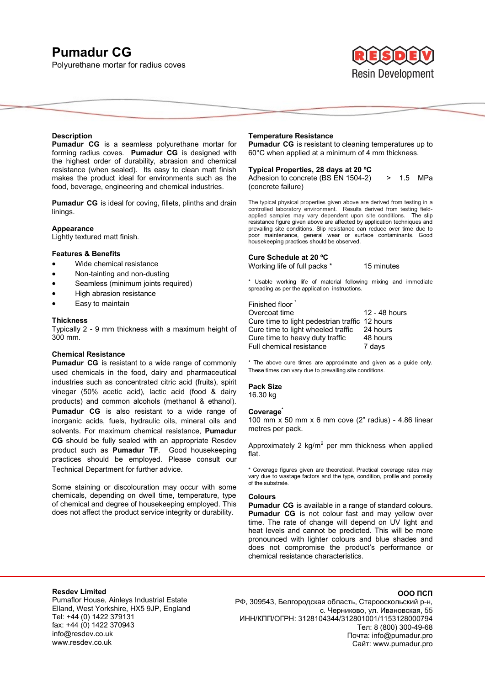# **Pumadur CG**

Polyurethane mortar for radius coves



#### **Description**

**Pumadur CG** is a seamless polyurethane mortar for forming radius coves. **Pumadur CG** is designed with the highest order of durability, abrasion and chemical resistance (when sealed). Its easy to clean matt finish makes the product ideal for environments such as the food, beverage, engineering and chemical industries.

**Pumadur CG** is ideal for coving, fillets, plinths and drain linings.

# **Appearance**

Lightly textured matt finish.

# **Features & Benefits**

- Wide chemical resistance
- Non-tainting and non-dusting
- Seamless (minimum joints required)
- High abrasion resistance
- Easy to maintain

#### **Thickness**

Typically 2 - 9 mm thickness with a maximum height of 300 mm.

# **Chemical Resistance**

**Pumadur CG** is resistant to a wide range of commonly used chemicals in the food, dairy and pharmaceutical industries such as concentrated citric acid (fruits), spirit vinegar (50% acetic acid), lactic acid (food & dairy products) and common alcohols (methanol & ethanol). **Pumadur CG** is also resistant to a wide range of inorganic acids, fuels, hydraulic oils, mineral oils and solvents. For maximum chemical resistance, **Pumadur CG** should be fully sealed with an appropriate Resdev product such as **Pumadur TF**. Good housekeeping practices should be employed. Please consult our Technical Department for further advice.

Some staining or discolouration may occur with some chemicals, depending on dwell time, temperature, type of chemical and degree of housekeeping employed. This does not affect the product service integrity or durability.

#### **Temperature Resistance**

**Pumadur CG** is resistant to cleaning temperatures up to 60°C when applied at a minimum of 4 mm thickness.

# **Typical Properties, 28 days at 20 ºC**

Adhesion to concrete (BS EN 1504-2)  $> 1.5$  MPa (concrete failure)

The typical physical properties given above are derived from testing in a controlled laboratory environment. Results derived from testing fieldapplied samples may vary dependent upon site conditions. The slip resistance figure given above are affected by application techniques and prevailing site conditions. Slip resistance can reduce over time due to poor maintenance, general wear or surface contaminants. Good housekeeping practices should be observed.

# **Cure Schedule at 20 ºC**

Working life of full packs \* 15 minutes

\* Usable working life of material following mixing and immediate spreading as per the application instructions.

# Finished floor

| Overcoat time                                  | 12 - 48 hours |
|------------------------------------------------|---------------|
| Cure time to light pedestrian traffic 12 hours |               |
| Cure time to light wheeled traffic             | 24 hours      |
| Cure time to heavy duty traffic                | 48 hours      |
| <b>Full chemical resistance</b>                | 7 days        |

\* The above cure times are approximate and given as a guide only. These times can vary due to prevailing site conditions.

# **Pack Size**

16.30 kg

#### **Coverage\***

100 mm x 50 mm x 6 mm cove (2" radius) - 4.86 linear metres per pack.

Approximately 2  $kg/m^2$  per mm thickness when applied flat.

\* Coverage figures given are theoretical. Practical coverage rates may vary due to wastage factors and the type, condition, profile and porosity of the substrate.

#### **Colours**

**Pumadur CG** is available in a range of standard colours. **Pumadur CG** is not colour fast and may yellow over time. The rate of change will depend on UV light and heat levels and cannot be predicted. This will be more pronounced with lighter colours and blue shades and does not compromise the product's performance or chemical resistance characteristics.

# **Resdev Limited**

Pumaflor House, Ainleys Industrial Estate Elland, West Yorkshire, HX5 9JP, England Tel: +44 (0) 1422 379131 fax: +44 (0) 1422 370943 info@resdev.co.uk www.resdev.co.uk

#### **ООО ПСП**

РФ, 309543, Белгородская область, Старооскольский р-н, с. Черниково, ул. Ивановская, 55 ИНН/КПП/ОГРН: 3128104344/312801001/1153128000794 Тел: 8 (800) 300-49-68 Почта: info@pumadur.pro Сайт: www.pumadur.pro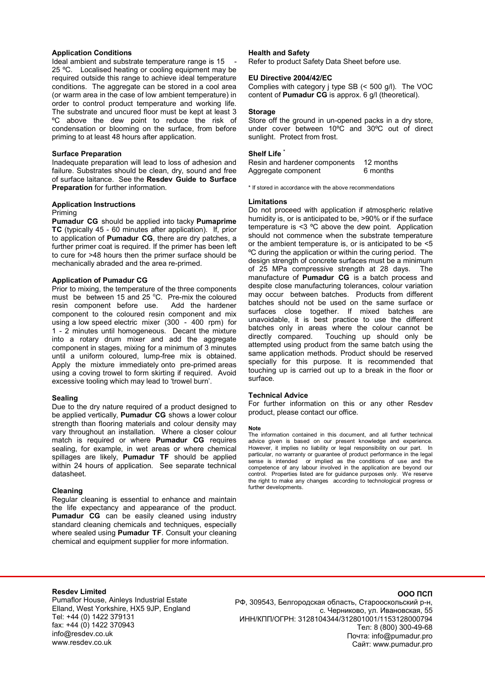# **Application Conditions**

Ideal ambient and substrate temperature range is 15 25 ºC. Localised heating or cooling equipment may be required outside this range to achieve ideal temperature conditions. The aggregate can be stored in a cool area (or warm area in the case of low ambient temperature) in order to control product temperature and working life. The substrate and uncured floor must be kept at least 3 ºC above the dew point to reduce the risk of condensation or blooming on the surface, from before priming to at least 48 hours after application.

#### **Surface Preparation**

Inadequate preparation will lead to loss of adhesion and failure. Substrates should be clean, dry, sound and free of surface laitance. See the **Resdev Guide to Surface Preparation** for further information.

# **Application Instructions**

#### Priming

**Pumadur CG** should be applied into tacky **Pumaprime TC** (typically 45 - 60 minutes after application). If, prior to application of **Pumadur CG**, there are dry patches, a further primer coat is required. If the primer has been left to cure for >48 hours then the primer surface should be mechanically abraded and the area re-primed.

# **Application of Pumadur CG**

Prior to mixing, the temperature of the three components must be between 15 and 25  $^{\circ}$ C. Pre-mix the coloured resin component before use. Add the hardener component to the coloured resin component and mix using a low speed electric mixer (300 - 400 rpm) for 1 - 2 minutes until homogeneous. Decant the mixture into a rotary drum mixer and add the aggregate component in stages, mixing for a minimum of 3 minutes until a uniform coloured, lump-free mix is obtained. Apply the mixture immediately onto pre-primed areas using a coving trowel to form skirting if required. Avoid excessive tooling which may lead to 'trowel burn'.

#### **Sealing**

Due to the dry nature required of a product designed to be applied vertically, **Pumadur CG** shows a lower colour strength than flooring materials and colour density may vary throughout an installation. Where a closer colour match is required or where **Pumadur CG** requires sealing, for example, in wet areas or where chemical spillages are likely, **Pumadur TF** should be applied within 24 hours of application. See separate technical datasheet.

# **Cleaning**

Regular cleaning is essential to enhance and maintain the life expectancy and appearance of the product. **Pumadur CG** can be easily cleaned using industry standard cleaning chemicals and techniques, especially where sealed using **Pumadur TF**. Consult your cleaning chemical and equipment supplier for more information.

# **Health and Safety**

Refer to product Safety Data Sheet before use.

# **EU Directive 2004/42/EC**

Complies with category j type SB (< 500 g/l). The VOC content of **Pumadur CG** is approx. 6 g/l (theoretical).

#### **Storage**

Store off the ground in un-opened packs in a dry store, under cover between 10ºC and 30ºC out of direct sunlight. Protect from frost.

# **Shelf Life \***

Resin and hardener components 12 months Aggregate component 6 months

\* If stored in accordance with the above recommendations

#### **Limitations**

Do not proceed with application if atmospheric relative humidity is, or is anticipated to be, >90% or if the surface temperature is <3 ºC above the dew point. Application should not commence when the substrate temperature or the ambient temperature is, or is anticipated to be <5 ºC during the application or within the curing period. The design strength of concrete surfaces must be a minimum of 25 MPa compressive strength at 28 days. The manufacture of **Pumadur CG** is a batch process and despite close manufacturing tolerances, colour variation may occur between batches. Products from different batches should not be used on the same surface or surfaces close together. If mixed batches are unavoidable, it is best practice to use the different batches only in areas where the colour cannot be directly compared. Touching up should only be attempted using product from the same batch using the same application methods. Product should be reserved specially for this purpose. It is recommended that touching up is carried out up to a break in the floor or surface.

#### **Technical Advice**

For further information on this or any other Resdev product, please contact our office.

#### **Note**

The information contained in this document, and all further technical advice given is based on our present knowledge and experience. However, it implies no liability or legal responsibility on our part. In particular, no warranty or guarantee of product performance in the legal sense is intended or implied as the conditions of use and the competence of any labour involved in the application are beyond our control. Properties listed are for guidance purposes only. We reserve the right to make any changes according to technological progress or further developments.

#### **Resdev Limited**

Pumaflor House, Ainleys Industrial Estate Elland, West Yorkshire, HX5 9JP, England Tel: +44 (0) 1422 379131 fax: +44 (0) 1422 370943 info@resdev.co.uk www.resdev.co.uk

РФ, 309543, Белгородская область, Старооскольский р-н, с. Черниково, ул. Ивановская, 55 ИНН/КПП/ОГРН: 3128104344/312801001/1153128000794 Тел: 8 (800) 300-49-68 Почта: info@pumadur.pro Сайт: www.pumadur.pro

#### **ООО ПСП**